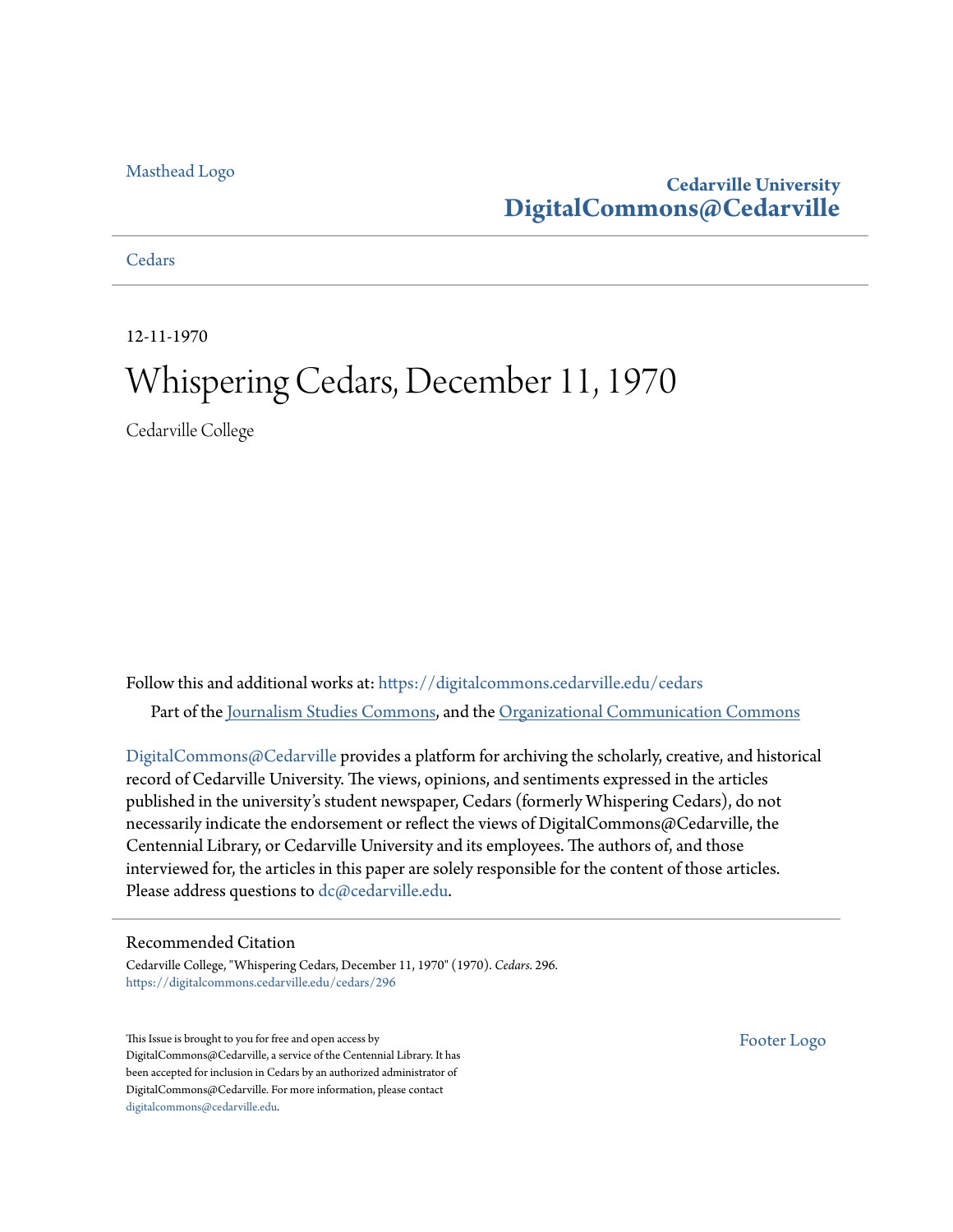### [Masthead Logo](http://www.cedarville.edu/?utm_source=digitalcommons.cedarville.edu%2Fcedars%2F296&utm_medium=PDF&utm_campaign=PDFCoverPages)

### **Cedarville University [DigitalCommons@Cedarville](https://digitalcommons.cedarville.edu?utm_source=digitalcommons.cedarville.edu%2Fcedars%2F296&utm_medium=PDF&utm_campaign=PDFCoverPages)**

### **[Cedars](https://digitalcommons.cedarville.edu/cedars?utm_source=digitalcommons.cedarville.edu%2Fcedars%2F296&utm_medium=PDF&utm_campaign=PDFCoverPages)**

12-11-1970

### Whispering Cedars, December 11, 1970

Cedarville College

Follow this and additional works at: [https://digitalcommons.cedarville.edu/cedars](https://digitalcommons.cedarville.edu/cedars?utm_source=digitalcommons.cedarville.edu%2Fcedars%2F296&utm_medium=PDF&utm_campaign=PDFCoverPages) Part of the [Journalism Studies Commons](http://network.bepress.com/hgg/discipline/333?utm_source=digitalcommons.cedarville.edu%2Fcedars%2F296&utm_medium=PDF&utm_campaign=PDFCoverPages), and the [Organizational Communication Commons](http://network.bepress.com/hgg/discipline/335?utm_source=digitalcommons.cedarville.edu%2Fcedars%2F296&utm_medium=PDF&utm_campaign=PDFCoverPages)

[DigitalCommons@Cedarville](http://digitalcommons.cedarville.edu/) provides a platform for archiving the scholarly, creative, and historical record of Cedarville University. The views, opinions, and sentiments expressed in the articles published in the university's student newspaper, Cedars (formerly Whispering Cedars), do not necessarily indicate the endorsement or reflect the views of DigitalCommons@Cedarville, the Centennial Library, or Cedarville University and its employees. The authors of, and those interviewed for, the articles in this paper are solely responsible for the content of those articles. Please address questions to [dc@cedarville.edu.](mailto:dc@cedarville.edu)

### Recommended Citation

Cedarville College, "Whispering Cedars, December 11, 1970" (1970). *Cedars*. 296. [https://digitalcommons.cedarville.edu/cedars/296](https://digitalcommons.cedarville.edu/cedars/296?utm_source=digitalcommons.cedarville.edu%2Fcedars%2F296&utm_medium=PDF&utm_campaign=PDFCoverPages)

This Issue is brought to you for free and open access by DigitalCommons@Cedarville, a service of the Centennial Library. It has been accepted for inclusion in Cedars by an authorized administrator of DigitalCommons@Cedarville. For more information, please contact [digitalcommons@cedarville.edu](mailto:digitalcommons@cedarville.edu).

[Footer Logo](http://www.cedarville.edu/Academics/Library.aspx?utm_source=digitalcommons.cedarville.edu%2Fcedars%2F296&utm_medium=PDF&utm_campaign=PDFCoverPages)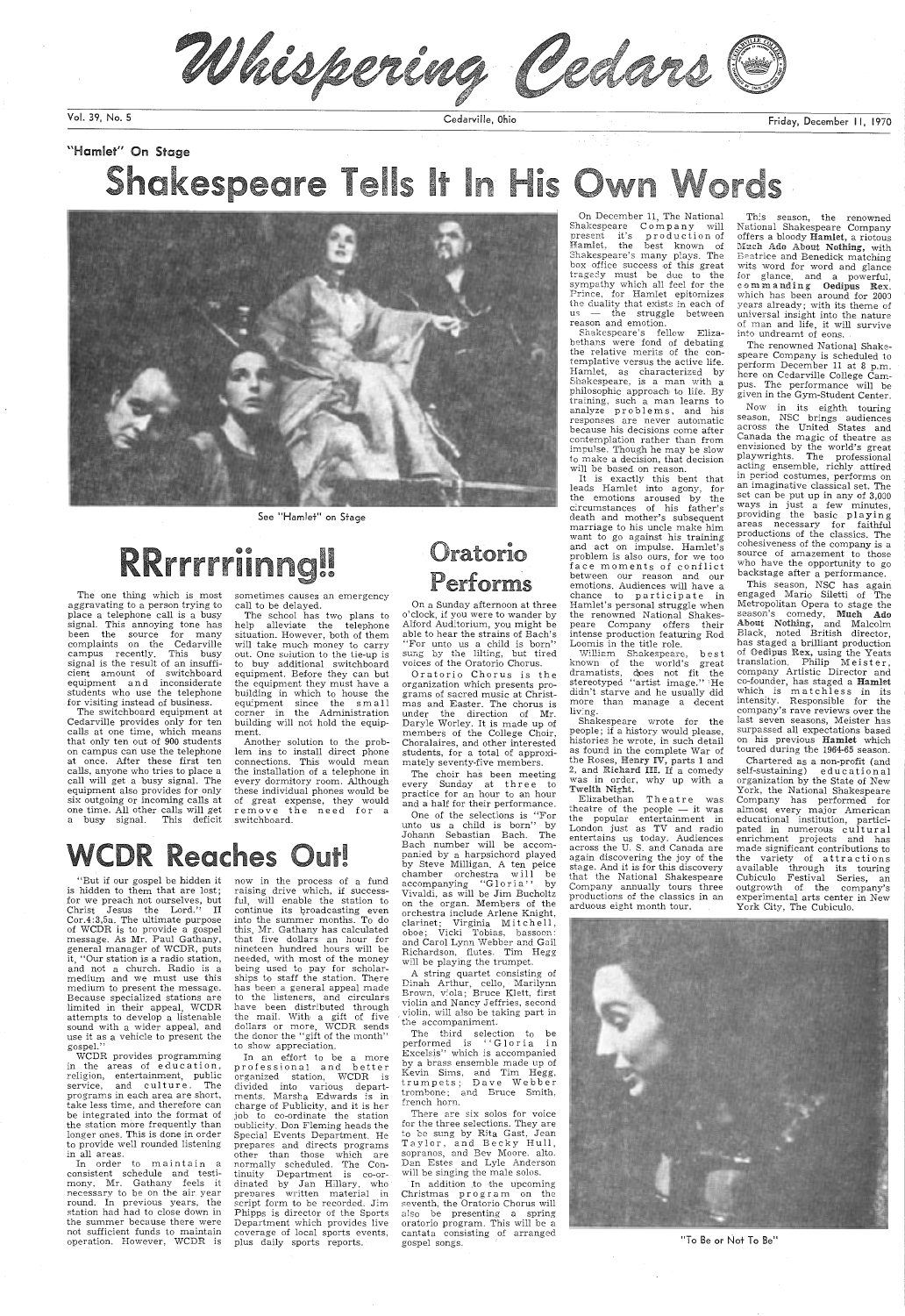Whispering Cedars C

Vol. 39, No. 5 Cedarville, Ohio

## "Hamlet" On Stage Shakespeare Tells It In His Own Words



See "Hamlet" on Stage

# RRrrrriinng!!

The switchboard equipment at Cedarville provides only for ten calls at one time, which means that only ten out of 900 students on campus can use the telephone at once. After these first ten calls, anyone who tries to place <sup>a</sup> call will get a busy signal. The equipment also provides for only six outgoing or incoming calls at one time. All other calls will get a busy signal. This deficit

The one thing which is most aggravating to a person trying to <sup>p</sup>lace a telephone call is a busy signal. This annoying tone has been the source for many complaints on the Cedarville campus recently. This busy signal is the result of an insufficient amount of switchboard equipment and inconsiderate students who use the telephone for visiting instead of business.

sometimes causes an emergency call to be delayed.

The school has two plans to help alleviate the telephone situation. However, both of them will take much money to carry out. One solution to the tie-up is to buy additional switchboard equipment. Before they can but the equipment they must have <sup>a</sup> building in which to house the equipment since the small corner in the Administration building will not hold the equipment.

Another solution to the problem ins to install direct phone connections. This would mean the installation of a telephone in every dormitory room. Although these individual phones would be of great expense, they would remove the need for a switchboard.

# **WCDR Reaches Out!**

"But if our gospel be hidden it is hidden to them that are lost; for we preach not ourselves, but<br>Christ Jesus the Lord.'' II<br>Cor.4:3,5a. The ultimate purpose of WCDR is to provide a gospel message. As Mr. Paul Gathany, general manager of WCDR, puts it, "Our station is a radio station,

### Oratorio Performs

and not a church. Radio is a medium and we must use this medium to present the message. Because specialized stations are limited in their appeal, WCDR attempts to develop a listenable sound with a wider appeal, and use it as a vehicle to present the gospel."

WCDR provides programming in the areas of education, religion, entertainment, public service, and culture. The programs in each area are short, take less time, and therefore can be integrated into the format of the station more frequently than longer ones. This is done in order to provide well rounded listening in all areas.

In order to maintain a consistent schedule and testimony, Mr. Gathany feels it necessary to be on the air year round. In previous years, the station had had to close down in the summer because there were not sufficient funds to maintain operation. However, WCDR is

The third selection to be<br>performed is ''Gloria in Excelsis" which is accompanied by a brass ensemble made up of Kevin Sims, and Tim Hegg, trumpets; Dave Webber trombone; and Bruce Smith, french horn.

In addition to the upcoming Christmas program on the seventh, the Oratorio Chorus will also be presenting a spring oratorio program. This will be <sup>a</sup> cantata consisting of arranged gospel songs.

On December 11, The National  $Shakespeare$   $Company$  will present it's production of Hamlet, the best known of Shakespeare's many plays. The box office success of this great tragecly must be due to the sympathy which all feel for the Prince, for Hamlet epitomizes the duality that exists in each of  $us$   $-$  the struggle between reason and emotion.

now in the process of a fund raising drive which, if successful, will enable the station to continue its broadcasting even<br>into the summer months. To do this, Mr. Gathany has calculated that five dollars an hour for nineteen hundred hours will be needed, with most of the money being used to pay for scholarships to staff the station. There has been a general appeal made to the listeners, and circulars have been distributed through the mail. With a gift of five dollars or more, WCDR sends the donor the "gift of the month" to show appreciation. In an effort to be a more professional and better organized station, WCDR is divided into various departments. Marsha Edwards is in charge of Publicity, and it is her job to co-ordinate the station nublicity. Don Fleming heads the Special Events Department. He prepares and directs programs other than those which are normally scheduled. The Continuity Department is co-ordinated by Jan Hillary, who prenares written material in script form to be recorded. Jim Phipps is director of the Sports Department which provides live coverage of local sports events, plus daily sports reports.

Elizabethan Theatre was theatre of the people  $-$  it was the popular entertainment in London just as TV and radio entertains us today. Audiences across the U. S. and Canada are again discovering the joy of the stage. And it is for this discovery that the National Shakespeare Company annually tours three productions of the classics in an arduous eight month tour.

On a Sunday afternoon at three <sup>o</sup>'clock, if you were to wander by Alford Auditorium, you might be able to hear the strains of Bach's "For unto us a child is born" sung by the lilting, but tired voices of the Oratorio Chorus.

Oratorio Chorus is the organization which presents programs of sacred music at Christmas and Easter. The chorus is under the direction of Mr. Daryle Worley. It is made up of members of the College Choir, Choralaires, and other interested students, for a total of approximately seventy-five members.

Now in its eighth touring season, NSC brings audiences across the United States and Canada the magic of theatre as envisioned by the world's great playwrights. The professional acting ensemble, richly attired in period costumes, performs on an imaginative classical set. The set can be put up in any of 3,000 ways in just a few minutes, providing the basic playing areas necessary for faithful productions of the classics. The cohesiveness of the company is <sup>a</sup> source of amazement to those who have the opportunity to go backstage after a performance.

The choir has been meeting every Sunday at three to practice for an hour to an hour and a half for their performance.

One of the selections is "For unto us a child is born" by Johann Sebastian Bach. The Bach number will be accompanied by a harpsichord played by Steve Milligan. A ten peice chamber orchestra will be<br>accompanying ''Gloria'' by Vivaldi, as will be Jim Bucholtz on the organ. Members of the orchestra include Arlene Knight, clarinet; Virginia Mitchell, oboe; Vicki Tobias, bassoon: and Carol Lynn Webber and Gail Richardson, flutes. Tim Hegg will be playing the trumpet.

<sup>A</sup>string quartet consisting of Dinah Arthur, cello, Marilynn Brown, v:ola; Bruce Klett, first violin and Nancy Jeffries, second violin, will also be taking part in the accompaniment.

There are six solos for voice for the three selections. They are to be sung by Rita Gast, Jean Taylor, and Becky Hull, sopranos, and Bev Moore. alto. Dan Estes and Lyle Anderson will be singing the male solos.

Shakespeare's fellow Elizabethans were fond of debating the relative merits of the contemplative versus the active life. Hamlet, as characterized by Shakespeare, is <sup>a</sup>man with <sup>a</sup> <sup>p</sup>hilosophic approach to life. By training, such a man learns to analyze problems, and his responses are never automatic because his decisions come after contemplation rather than from impulse. Though he may be slow to make a decision, that decision will be based on reason.

 It is exactly this bent that leads Hamlet into agony, for the emotions aroused by the circumstances of his father's death and mother's subsequent marriage to his uncle make him want to go against his training and act on impulse. Hamlet's problem is also ours, for we too face moments of conflict between our reason and our emotions. Audiences will have a chance to participate in Hamlet's personal struggle when the renowned National Shakespeare Company offers their intense production featuring- Rod 0 Loomis in the title role.

Vlillic:m Shakespeare, best known of the world's great dramatists, does not fit the stereotyped ''artist image.'' <sup>;</sup>He didn't starve and he usually did more than manage a decent liv'ng.

Shakespeare wrote for the people; if a history would please, histories he wrote, in such detail as found in the complete War of the Roses, Henry IV, parts 1 and 2, and Richard III. If a comedy was in order, why up with <sup>a</sup> Twelth Nfa:ht.

Friday, December 11, 1970

Th:s season, the renowned National Shakespeare Company offers a bloody Hamlet, a riotous Much Ado About Nothing, with Beatrice and Benedick matching wits word for word and glance for glance, and a powerful, comm anding Oedipus Rex, which has been around for 2000 years already; with its theme of universal insight into the nature of man and life, it will survive into undreamt of eons.

The renowned National Shakespeare Company is scheduled to perform December 11 at 8 p.m. here on Cedarville College Campus. The performance will be given in the Gym-Student Center.

This season, NSC has again engaged Mario Siletti of The Metropolitan Opera to stage the season's comedy, Much Ado About Nothing, and Malcolm Black, noted British director, has staged a brilliant production of Oedipus Rex, using the Yeats translation. Philip Meister, company Artistic Director and co-founder, has staged a Hamlet which is matchless in its intensity. Responsible for the company's rave reviews over the last seven seasons, Meister has surpassed all expectations based on his previous Hamlet which toured during the 1964-65 season.

Chartered as a non-profit (and self-sustaining) educational organization by the State of New York, the National Shakespeare Company has performed for almost every major American educational institution, participated in numerous cultural enrichment projects and has made significant contributions to the variety of attractions available through its touring Cubiculo Festival Series, an outgrowth of the company's experimental arts center in New York City, The Cubiculo.



"To Be or Not To Be"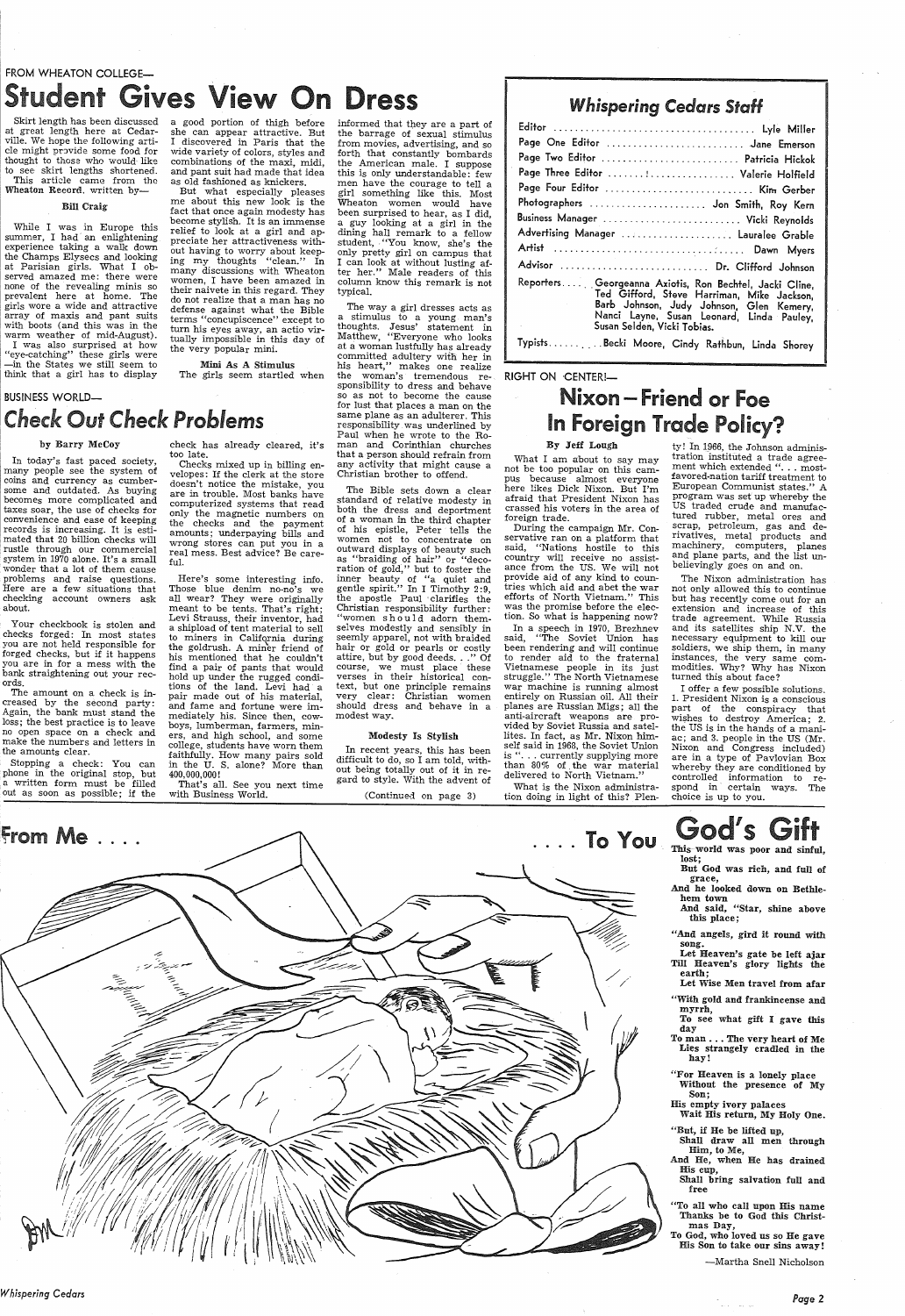### FROM WHEATON COLLEGE-Student Gives View On Dress

Skirt length has been discussed at great length here at Cedarville. We hope the following article might provide some food for thought to those who would like to see skirt lengths shortened. This article came from the Wheaton Record. written by-

#### Bill Craig

While I was in Europe this summer, I had· an enlightening experience taking a walk down the Champs Elysees and looking at Parisian girls. What I observed amazed me: there were none of the revealing minis so prevalent here at home. The girls wore a wide and attractive array of maxis and pant suits with boots ( and this was in the warm weather of mid-August). I was also surprised at how 'eye-catching" these girls were -in the States we still seem to think that <sup>a</sup>girl has to display

a good portion of thigh before she can appear attractive. But<br>I discovered in Paris that the discovered in Paris that the wide variety of colors, styles and combinations of the maxi, midi, and pant suit had made that idea as old fashioned as knickers.

But what especially pleases me about this new look is the fact that once again modesty has become stylish. It is an immense relief to look at <sup>a</sup>girl and ap preciate her attractiveness with out having to worry about keep ing my thoughts "clean." In many discussions with Wheaton women, I have been amazed in their naivete in this regard. They do not realize that a man has no defense against what the Bible terms "concupiscence" except to turn his eyes away, an actio vir tually impossible in this day of the very popular mini.

Mini As A Stimulus The girls seem startled when

# *Check* Out *Check Problems*

### by Barry McCoy

**BUSINESS WORLD-**

In today's fast paced society, many people see the system of coins and currency as cumbersome and outdated. As buying becomes more complicated and taxes soar, the use of checks for convenience and ease of keeping records is increasing. It is estimated that 20 billion checks will : rustle through our commercial svstem in 1970 alone. It's a small wonder that a lot of them cause problems and raise questions. Here are a few situations that checking account owners ask about.

Your checkbook is stolen and checks forged: In most states you are not held responsible for forged checks, but if it happens you are in for <sup>a</sup>mess with the bank straightening out your records.

The amount on a check is increased by the second party: Again, the bank must stand the loss; the best practice is to leave no open space on a check and make the numbers and letters in the amounts clear.

Stopping a check: You can <sup>p</sup>hone in the original stop, but <sup>a</sup>written form must be filled out as soon as possible; if the

check has already cleared, it's<br>check that already cleared, it's<br>too late.<br>The velopes: If the clerk at the store<br>doesn't notice the mistake, you<br>in a minuterized systems that reaches<br>computerized and the payment of comput

In a speech in 1970, Brezhnev said, "The Soviet Union has been rendering and will continue to render aid to the fraternal Vietnamese people in its just struggle." The North Vietnamese war machine is running almost entirely on Russian oil. All their <sup>p</sup>lanes are Russian Migs; all the vided by Soviet Russia and satellites. In fact, as Mr. Nixon himself said in 1968, the Soviet Union is ". . . currently supplying more than 80% of. the war material delivered to North Vietnam.'

informed that they are a part of the barrage of sexual stimulus from movies, advertising, and so forth that constantly bombards the American male. I suppose this is only understandable: few men have the courage to tell <sup>a</sup> girl something like this. Most Wheaton women would have been surprised to hear, as I did, <sup>a</sup>guy looking at <sup>a</sup>girl in the dining hall remark to a fellow student, "You know, she's the only pretty girl on campus that <sup>I</sup>can look at without lusting after her." Male readers of this column know this remark is not typical.

> ty ! In 1966, the Johnson administration instituted a trade agreement which extended ". . . mostfavored-nation tariff treatment to European Communist states." A program was set up whereby the US traded crude and manufactured rubber, metal ores and scrap, petroleum, gas and derivatives, metal products and machinery, computers, planes and plane parts, and the list unbelievingly goes on and on.

The way <sup>a</sup>girl dresses acts as a stimulus to a young man's thoughts. Jesus' statement in Matthew, "Everyone who looks at a woman lustfully has already committed adultery with her in his heart," makes one realize the woman's tremendous responsibility to dress and behave so as not to become the cause for lust that places <sup>a</sup>man on the same plane as an adulterer. This responsibility. was underlined by Paul when he wrote to the Roman and Corinthian churches that <sup>a</sup>person should refrain from any activity that might cause <sup>a</sup> Christian brother to offend.

> Let Heaven's gate be left ajar Till Heaven's glory lights t

The Bible sets down a clear standard of relative modesty in both the dress and deportment of <sup>a</sup>woman in the third chapter of his epistle, Peter tells the women not to concentrate on outward displays of beauty such as "braiding of hair" or "decoration of gold," but to foster the inner beauty of "a quiet and gentle spirit." In I Timothy 2:9, the apostle Paul 'clarifies the Christian responsibility further: "women should adorn themselves modestly and sensibly in seemly apparel, not with braided hair or gold or pearls or costly<br>attire, but by good deeds..." Of attire, but by good deeds... course, we must place these verses in their historical context, but one principle remains<br>very clear: Christian women clear: Christian women should dress and behave in <sup>a</sup> modest way.



#### Modesty Is Stylish

In recent years, this has been difficult to do, so I am told, without being totally out of it in regard to style. With the advent of

(Continued on page 3)

### *Whispering Cedars* Staff

| Page One Editor  Jane Emerson                                                                                                                                                                                                 |
|-------------------------------------------------------------------------------------------------------------------------------------------------------------------------------------------------------------------------------|
| Page Two Editor  Patricia Hickok                                                                                                                                                                                              |
| Page Three Editor  Valerie Holfield                                                                                                                                                                                           |
| Page Four Editor  Kim Gerber                                                                                                                                                                                                  |
| Photographers  Jon Smith, Roy Kern                                                                                                                                                                                            |
| Business Manager  Vicki Reynolds                                                                                                                                                                                              |
| Advertising Manager  Lauralee Grable                                                                                                                                                                                          |
|                                                                                                                                                                                                                               |
| Advisor  Dr. Clifford Johnson                                                                                                                                                                                                 |
| Reporters Georgeanna Axiotis, Ron Bechtel, Jacki Cline,<br>Ted Gifford, Steve Harriman, Mike Jackson,<br>Barb Johnson, Judy Johnson, Glen Kemery,<br>Nanci Layne, Susan Leonard, Linda Pauley,<br>Susan Selden, Vicki Tobias. |
| TypistsBecki Moore, Cindy Rathbun, Linda Shorey                                                                                                                                                                               |

#### RIGHT ON CENTER!-

### Nixon – Friend or Foe In Foreign Trade Policy?

### By Jeff Lough

What I am about to say may not be too popular on this campus because almost everyone here likes Dick Nixon. But I'm afraid that President Nixon has crassed his voters in the area of foreign trade.

During the campaign Mr. Conservative ran on a platform that said, "Nations hostile to this country will receive no assistance from the US. We will not provide aid of any kind to countries which aid and abet the war efforts of North Vietnam." This was the promise before the election. So what is happening now?

What is the Nixon administration doing in light of this? Plen-

The Nixon administration has not only allowed this to continue but has recently come out for an extension and increase of this trade agreement. While Russia and its satellites ship N.V. the necessary equipment to kill our soldiers, we ship them, in many instances, the very same commodities. Why? Why has Nixon turned this about face?

I offer a few possible solutions. 1. President Nixon is a conscious part of the conspiracy that wishes to destroy America; 2. the US is in the hands of a maniac; and 3. people in the US (Mr. Nixon and Congress included) are in a type of Pavlovian Box whereby they are conditioned by controlled information to respond in certain ways. The choice is up to you.

ift God's This world was poor and sinful,

lost; But God was rich, and full of

grace, And he looked down on Bethlehem town

And said, "Star, shine above this place;

"And angels, gird it round with song.

earth;

Let Wise Men travel from afar

"With gold and frankincense and myrrh,

To see what gift I gave this day

To man ... The very heart of Me Lies strangely cradled in the hay!

"For Heaven is a lonely place Without the presence of My Son; His empty ivory palaces Wait His return, My Holy One.

"But, if He be lifted up, Shall draw all men through Him, to Me,

And He, when He has drained His cup,

Shall bring salvation full and free

"To all who call upon His name Thanks be to God this Christmas Day,

To God, who loved us so He gave His Son to take our sins away!

-Martha Snell Nicholson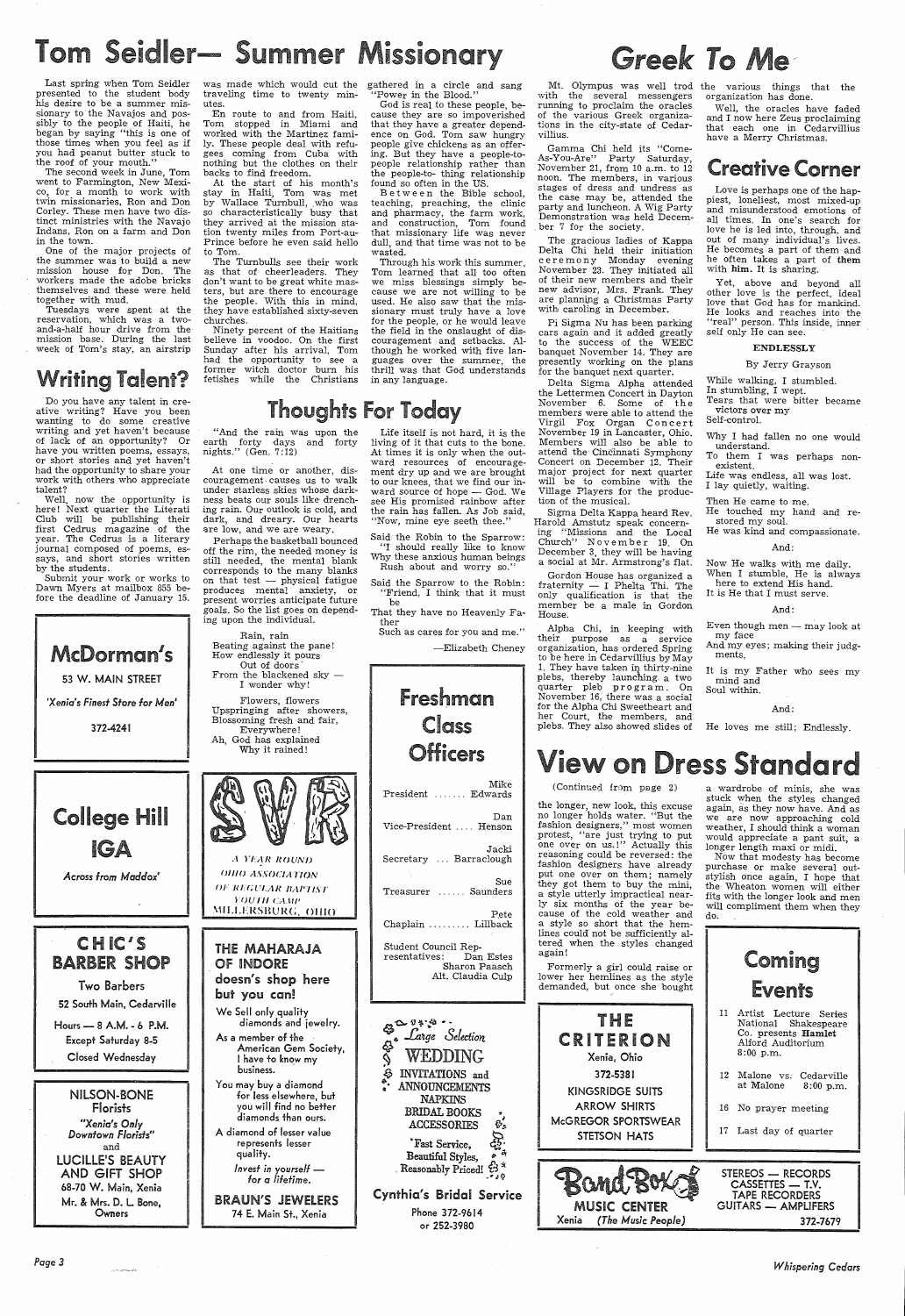# Tom Seidler— Summer Missionary

Last spring when Tom Seidler presented to the student body his desire to be a summer missionary to the Navajos and possibly to the people of Haiti, he began by saying "this is one of those times when you feel as if you had peanut butter stuck to the roof of your mouth."

The second week in June, Tom went to Farmington, New Mexico, for a month to work with twin missionaries, Ron and Don Corley. These men have two distinct ministries with the Navajo Indans, Ron on a farm and Don in the town.

One of the major projects of the summer was to build a new mission house for Don. The workers made the adobe bricks themselves and these were held together with mud.

Tuesdays were spent at the reservation, which was a twoand-a-half hour drive from the mission base. During the last week of Tom's stay, an airstrip

### Writing Talent?

was made which would cut the traveling time to twenty minutes.

En route to and from Haiti, Tom stopped in Miami and worked with the Martinez family. These people deal with refugees coming from Cuba with nothing but the clothes on their backs to find freedom.

> Between the Bible school, teaching, preaching, the clinic and pharmacy, the farm work,<br>and construction. Tom found construction, Tom found that missionary life was never dull, and that time was not to be wasted.

At the start of his month's stay in Haiti, Tom was met by Wallace Turnbull, who was so characteristically busy that they arrived at the mission station twenty miles from Port-au-Prince before he even said hello to Tom.

 The Turnbulls see their work as that of cheerleaders. They don't want to be great white masters, but are there to encourage the people. With this in mind, they have established sixty-seven churches.

 Ninety percent of the Haitians believe in voodoo. On the first Sunday after his arrival, Tom had the opportunity to see <sup>a</sup> former witch doctor burn his fetishes while the Christians

gathered in a circle and sang "Power in the Blood."

At one time or another, discouragement. causes us to walk under starless skies whose darkness beats our souls like drenching rain. Our outlook is cold, and dark, and dreary. Our hearts are low, and we are weary.

God is real to these people, because they are so impoverished that they have a greater dependence on God. Tom saw hungry people give chickens as an offering. But they have a people-topeople relationship rather than the people-to- thing relationship found so often in the US.

THE MAHARAJA OF INDORE

 Through his work this summer, Tom learned that all too often we miss blessings simply because we are not willing to be used. He also saw that the missionary must truly have a love for the people, or he would leave the field in the onslaught of discouragement and setbacks. Although he worked with five languages over the summer, the thrill was that God understands in any language.

### **Thoughts For Today**

Do you have any talent in creative writing? Have you been wanting to do some creative writing and yet haven't because of lack of an opportunity? Or have you written poems, essays, or short stories and yet haven't had the opportunity to share your work with others who appreciate talent?

Well, now the opportunity is here! Next quarter the Literati Club will be publishing their first Cedrus magazine of the year. The Cedrus is a literary journal composed of poems, essays, and short stories written by the students.

Submit your work or works to Dawn Myers at mailbox 855 before the deadline of January 15.



*Across* from *Maddox'* 

CH IC'S DADDED CUAD

Pi Sigma Nu has been parking cars again and it added greatly to the success of the WEEC banquet November 14. They are presently working on the plans for the banquet next quarter.

*Page3* 

"And the rain was upon the earth forty days and forty nights." (Gen. 7:12)

> Alpha Chi, in keeping with their purpose as a service organization, has ordered Spring to be here in Cedarvillius by May 1. They have taken in thirty-nine plebs, thereby launching a two quarter pleb program. On November 16, there was a social for the Alpha Chi Sweetheart and her Court, the members, and plebs. They also showed slides of

Perhaps the basketball bounced off the rim, the needed money is still needed, the mental blank corresponds to the many blanks on that test  $-$  physical fatigue produces mental anxiety, or present worries anticipate future goals. So the list goes on depending upon the individual.

Rain, rain Beating against the pane! How endlessly it pours Out of doors From the blackened sky -

I wonder why! Flowers, flowers Upspringing after showers,

Blossoming fresh and fair, Everywhere! Ah, God has explained Why it rained!



Even though men  $-$  may look at my face

# Life itself is not hard, it is the

living of it that cuts to the bone. At times it is only when the outward resources of encouragement dry up and we are brought to our knees, that we find our inward source of hope  $-$  God. We see His promised rainbow after the rain has fallen. As Job said, "Now, mine eye seeth thee."

Said the Robin to the Sparrow: "I should really like to know Why these anxious human beings Rush about and worry so."

Said the Sparrow to the Robin: "Friend, I think that it must

be That they have no Heavenly Father

Such as cares for you and me."

-Elizabeth Cheney

# Greek To Me

freshman

Class Officers Mike President . . . . . . . Edwards Dan Vice-President .... Henson Jacki Secretary ... Barraclough Sue Treasurer ...... Saunders Pete Chaplain ......... Lillback

Student Council Representatives: Dan Estes Sharon Paasch

with the several messengers running to proclaim the oracles of the various Greek organizations in the city-state of Cedarvillius.

Gamma Chi held its "Come-As-You-Are" Party Saturday, November 21, from 10 a.m. to 12 noon. The members, in various stages of dress and undress as the case may be, attended the party and luncheon. A Wig Party Demonstration was held December 7 for the society.

The gracious ladies of Kappa Delta Chi held their initiation ceremony Monday evening November 23. They initiated all of their new members and their new advisor, Mrs. Frank. They are planning a Christmas Party with caroiing in December.

| Darder Jeuf<br><b>Two Barbers</b>                                                                | uf Induke<br>doesn's shop here<br>but you can!                                                                                                                   | Sharon Paasch<br>Alt. Claudia Culp                                                                                                            | Formerly a girl could raise or<br>lower her hemlines as the style<br>demanded, but once she bought | – viileeva<br>Events                                                                                                                       |
|--------------------------------------------------------------------------------------------------|------------------------------------------------------------------------------------------------------------------------------------------------------------------|-----------------------------------------------------------------------------------------------------------------------------------------------|----------------------------------------------------------------------------------------------------|--------------------------------------------------------------------------------------------------------------------------------------------|
| 52 South Main, Cedarville<br>Hours - 8 A.M. - 6 P.M.<br>Except Saturday 8-5<br>Closed Wednesday  | We Sell only quality<br>diamonds and jewelry.<br>As a member of the<br>American Gem Society,<br>l have to know my<br>business.                                   | $\mathbb{S}^{\Delta^{\frac{9*}{3}+\Delta}}$<br>Large Selection<br>WEDDING<br><b>INVITATIONS</b> and                                           | THE<br>CRITERION<br>Xenia, Ohio<br>372-5381                                                        | Artist Lecture Series<br>National Shakespeare<br>Co. presents Hamlet<br>Alford Auditorium<br>$8:00$ p.m.<br>Malone vs.<br>12<br>Cedarville |
| NILSON-BONE<br>Florists<br>"Xenia's Only<br>Downtown Florists"<br>and<br><b>LUCILLE'S BEAUTY</b> | You may buy a diamond<br>for less elsewhere, but<br>you will find no better<br>diamonds than ours.<br>A diamond of lesser value<br>represents lesser<br>quality. | <b>ANNOUNCEMENTS</b><br><b>NAPKINS</b><br><b>BRIDAL BOOKS</b><br><b>ACCESSORIES</b><br>s.<br>ૡૻૺૺૺૺૺૺૺ<br>'Fast Service,<br>Beautiful Styles, | <b>KINGSRIDGE SUITS</b><br>ARROW SHIRTS<br>McGREGOR SPORTSWEAR<br><b>STETSON HATS</b>              | at Malone<br>$8:00$ p.m.<br>16 No prayer meeting<br>17 Last day of quarter                                                                 |
| AND GIFT SHOP<br>68-70 W. Main, Xenia<br>Mr. & Mrs. D. L. Bone,<br>Owners                        | Invest in yourself $-$<br>for a lifetime.<br><b>BRAUN'S JEWELERS</b><br>74 E. Main St., Xenia                                                                    | Reasonably Priced! $2^3$<br><b>Cynthia's Bridal Service</b><br>Phone 372-9614<br>or 252-3980                                                  | Bana.<br><b>MUSIC CENTER</b><br>(The Music People)<br>Xenia                                        | STEREOS - RECORDS<br>CASSETTES - T.V.<br><b>TAPE RECORDERS</b><br><b>GUITARS — AMPLIFERS</b><br>372-7679                                   |

Mt. Olympus was well trod the various things that the organization has done.

Delta Sigma Alpha attended the Lettermen Concert in Dayton November 6. Some of the members were able to attend the Virgil Fox Organ Concert November 19 in Lancaster, Ohio. Members will also be able to attend the Cincinnati Symphony Concert on December 12. Their major project for next quarter will be to combine with the Village Players for the production of the musical.

Sigma Delta Kappa heard Rev. Harold Amstutz speak concerning "Missions and the Local Church" November 19. On December 3, they will be having <sup>a</sup>social at Mr. Armstrong's flat.

Gordon House has organized <sup>a</sup> fraternity — I Phelta Thi. The only qualification is that the member be a male in Gordon House.

Well, the oracles have faded and I now here Zeus proclaiming that each one in Cedarvillius have a Merry Christmas.

### Creative Corner

Love is perhaps one of the happiest, loneliest, most mixed-up and misunderstood emotions of all times. In one's search for love he is led into, through, and out of many individual's lives. He becomes a part of them and he often takes a part of them with him. It is sharing.

Yet, above and beyond all other love is the perfect, ideal love that God has for mankind. He looks and reaches into the "real" person. This inside, inner self only He can see.

#### ENDLESSLY

By Jerry Grayson

While walking, I stumbled. In stumbling, I wept. Tears that were bitter became victors over my Self-control.

Why I had fallen no one would understand.

 To them I was perhaps nonexistent.

 Life was endless, all was lost. I lay quietly, waiting.

Then He came to me.

He touched my hand and restored my soul.

He was kind and compassionate.

#### And:

Now He walks with me daily. When I stumble, He is always here to extend His hand. It is He that I must serve.

#### And:

And my eyes; making their judgments,

It is my Father who sees my mind and Soul within.

#### And:

He loves me still; Endlessly.

## **View on Dress Standard**

### (Continued from page 2)

the longer, new look, this excuse no longer holds water. "But the fashion designers," most women protest, "are just trying to put one over on us.!" Actually this reasoning could be reversed: the fashion designers have already put one over on them; namely they got them to buy the mini, a style utterly impractical nearly six months of the year because of the cold weather and a style so short that the hemlines could not be sufficiently altered when the styles changed again!

<sup>a</sup>wardrobe of minis, she was stuck when the styles changed again, as they now have. And as we are now approaching cold weather, I should think a woman would appreciate a pant suit, <sup>a</sup> longer length maxi or midi.

Now that modesty has become purchase or make several outstylish once again, I hope that the Wheaton women will either fits with the longer look and men will compliment them when they do.



*Whispering Cedars*